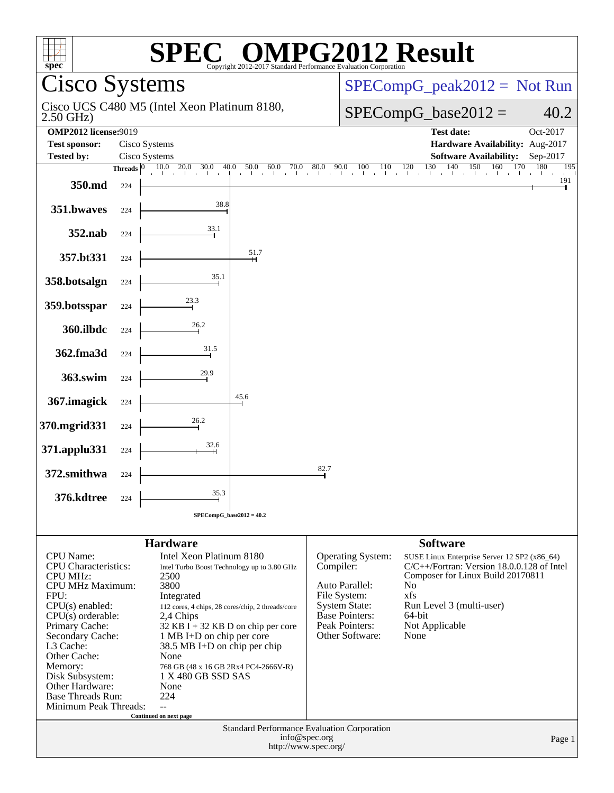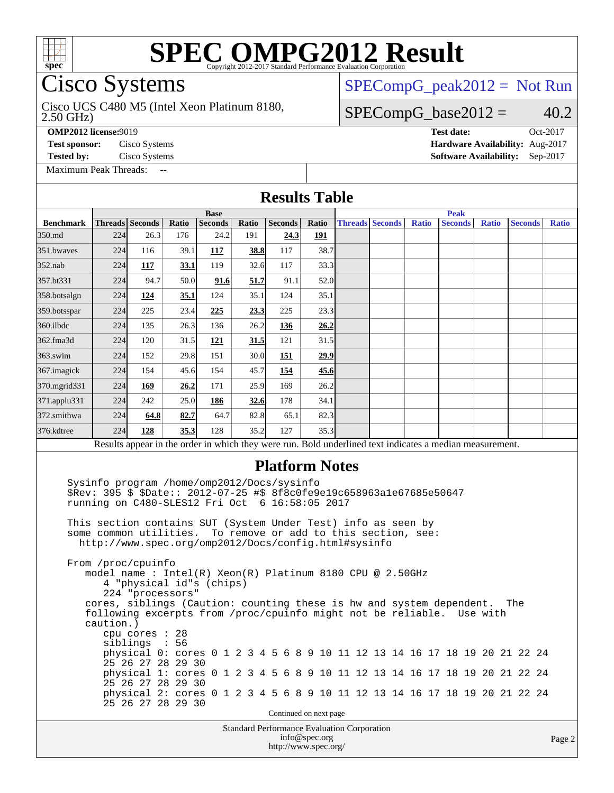

# SPI<br>Cisco Systems

### Cisco UCS C480 M5 (Intel Xeon Platinum 8180,

[SPECompG\\_peak2012 =](http://www.spec.org/auto/omp2012/Docs/result-fields.html#SPECompGpeak2012) Not Run

#### $SPECompG_base2012 = 40.2$  $SPECompG_base2012 = 40.2$

2.50 GHz)

[Maximum Peak Threads:](http://www.spec.org/auto/omp2012/Docs/result-fields.html#MaximumPeakThreads) --

**[OMP2012 license:](http://www.spec.org/auto/omp2012/Docs/result-fields.html#OMP2012license)**9019 **[Test date:](http://www.spec.org/auto/omp2012/Docs/result-fields.html#Testdate)** Oct-2017 **[Test sponsor:](http://www.spec.org/auto/omp2012/Docs/result-fields.html#Testsponsor)** Cisco Systems **[Hardware Availability:](http://www.spec.org/auto/omp2012/Docs/result-fields.html#HardwareAvailability)** Aug-2017 **[Tested by:](http://www.spec.org/auto/omp2012/Docs/result-fields.html#Testedby)** Cisco Systems **[Software Availability:](http://www.spec.org/auto/omp2012/Docs/result-fields.html#SoftwareAvailability)** Sep-2017

|                  |                                             |                                                                              |                 |                                                                                                                                                                                                                                                                                                                                                                                                                                                                                                                                                                                                                                                                                                                  |       | <b>Results Table</b>                               |                        |                        |              |                |              |                |              |  |
|------------------|---------------------------------------------|------------------------------------------------------------------------------|-----------------|------------------------------------------------------------------------------------------------------------------------------------------------------------------------------------------------------------------------------------------------------------------------------------------------------------------------------------------------------------------------------------------------------------------------------------------------------------------------------------------------------------------------------------------------------------------------------------------------------------------------------------------------------------------------------------------------------------------|-------|----------------------------------------------------|------------------------|------------------------|--------------|----------------|--------------|----------------|--------------|--|
|                  |                                             |                                                                              |                 | <b>Base</b>                                                                                                                                                                                                                                                                                                                                                                                                                                                                                                                                                                                                                                                                                                      |       |                                                    |                        |                        |              | <b>Peak</b>    |              |                |              |  |
| <b>Benchmark</b> | Threads Seconds                             |                                                                              | Ratio           | <b>Seconds</b>                                                                                                                                                                                                                                                                                                                                                                                                                                                                                                                                                                                                                                                                                                   | Ratio | <b>Seconds</b>                                     | Ratio                  | <b>Threads Seconds</b> | <b>Ratio</b> | <b>Seconds</b> | <b>Ratio</b> | <b>Seconds</b> | <b>Ratio</b> |  |
| 350.md           | 224                                         | 26.3                                                                         | 176             | 24.2                                                                                                                                                                                                                                                                                                                                                                                                                                                                                                                                                                                                                                                                                                             | 191   | 24.3                                               | <u>191</u>             |                        |              |                |              |                |              |  |
| 351.bwaves       | 224                                         | 116                                                                          | 39.1            | 117                                                                                                                                                                                                                                                                                                                                                                                                                                                                                                                                                                                                                                                                                                              | 38.8  | 117                                                | 38.7                   |                        |              |                |              |                |              |  |
| $352$ .nab       | 224                                         | 117                                                                          | 33.1            | 119                                                                                                                                                                                                                                                                                                                                                                                                                                                                                                                                                                                                                                                                                                              | 32.6  | 117                                                | 33.3                   |                        |              |                |              |                |              |  |
| 357.bt331        | 224                                         | 94.7                                                                         | 50.0            | 91.6                                                                                                                                                                                                                                                                                                                                                                                                                                                                                                                                                                                                                                                                                                             | 51.7  | 91.1                                               | 52.0                   |                        |              |                |              |                |              |  |
| 358.botsalgn     | 224                                         | 124                                                                          | 35.1            | 124                                                                                                                                                                                                                                                                                                                                                                                                                                                                                                                                                                                                                                                                                                              | 35.1  | 124                                                | 35.1                   |                        |              |                |              |                |              |  |
| 359.botsspar     | 224                                         | 225                                                                          | 23.4            | 225                                                                                                                                                                                                                                                                                                                                                                                                                                                                                                                                                                                                                                                                                                              | 23.3  | 225                                                | 23.3                   |                        |              |                |              |                |              |  |
| 360.ilbdc        | 224                                         | 135                                                                          | 26.3            | 136                                                                                                                                                                                                                                                                                                                                                                                                                                                                                                                                                                                                                                                                                                              | 26.2  | <u>136</u>                                         | 26.2                   |                        |              |                |              |                |              |  |
| 362.fma3d        | 224                                         | 120                                                                          | 31.5            | 121                                                                                                                                                                                                                                                                                                                                                                                                                                                                                                                                                                                                                                                                                                              | 31.5  | 121                                                | 31.5                   |                        |              |                |              |                |              |  |
| $363$ .swim      | 224                                         | 152                                                                          | 29.8            | 151                                                                                                                                                                                                                                                                                                                                                                                                                                                                                                                                                                                                                                                                                                              | 30.0  | <b>151</b>                                         | 29.9                   |                        |              |                |              |                |              |  |
| 367. imagick     | 224                                         | 154                                                                          | 45.6            | 154                                                                                                                                                                                                                                                                                                                                                                                                                                                                                                                                                                                                                                                                                                              | 45.7  | 154                                                | 45.6                   |                        |              |                |              |                |              |  |
| 370.mgrid331     | 224                                         | 169                                                                          | 26.2            | 171                                                                                                                                                                                                                                                                                                                                                                                                                                                                                                                                                                                                                                                                                                              | 25.9  | 169                                                | 26.2                   |                        |              |                |              |                |              |  |
| 371.applu331     | 224                                         | 242                                                                          | 25.0            | 186                                                                                                                                                                                                                                                                                                                                                                                                                                                                                                                                                                                                                                                                                                              | 32.6  | 178                                                | 34.1                   |                        |              |                |              |                |              |  |
| 372.smithwa      | 224                                         | 64.8                                                                         | 82.7            | 64.7                                                                                                                                                                                                                                                                                                                                                                                                                                                                                                                                                                                                                                                                                                             | 82.8  | 65.1                                               | 82.3                   |                        |              |                |              |                |              |  |
| 376.kdtree       | 224                                         | 128                                                                          | 35.3            | 128                                                                                                                                                                                                                                                                                                                                                                                                                                                                                                                                                                                                                                                                                                              | 35.2  | 127                                                | 35.3                   |                        |              |                |              |                |              |  |
|                  |                                             |                                                                              |                 | Results appear in the order in which they were run. Bold underlined text indicates a median measurement.                                                                                                                                                                                                                                                                                                                                                                                                                                                                                                                                                                                                         |       |                                                    |                        |                        |              |                |              |                |              |  |
|                  | From /proc/cpuinfo<br>caution.)<br>siblings | 224 "processors"<br>cpu cores : 28<br>25 26 27 28 29 30<br>25 26 27 28 29 30 | $\sim 10$<br>56 | \$Rev: 395 \$ \$Date:: 2012-07-25 #\$ 8f8c0fe9e19c658963a1e67685e50647<br>running on C480-SLES12 Fri Oct 6 16:58:05 2017<br>This section contains SUT (System Under Test) info as seen by<br>some common utilities. To remove or add to this section, see:<br>http://www.spec.org/omp2012/Docs/config.html#sysinfo<br>model name: $Intel(R)$ Xeon(R) Platinum 8180 CPU @ 2.50GHz<br>4 "physical id"s (chips)<br>cores, siblings (Caution: counting these is hw and system dependent.<br>following excerpts from /proc/cpuinfo might not be reliable.<br>physical 0: cores 0 1 2 3 4 5 6 8 9 10 11 12 13 14 16 17 18 19 20 21 22 24<br>physical 1: cores 0 1 2 3 4 5 6 8 9 10 11 12 13 14 16 17 18 19 20 21 22 24 |       |                                                    |                        |                        |              |                | Use with     | The            |              |  |
|                  |                                             | 25 26 27 28 29 30                                                            |                 | physical 2: cores 0 1 2 3 4 5 6 8 9 10 11 12 13 14 16 17 18 19 20 21 22 24                                                                                                                                                                                                                                                                                                                                                                                                                                                                                                                                                                                                                                       |       |                                                    |                        |                        |              |                |              |                |              |  |
|                  |                                             |                                                                              |                 |                                                                                                                                                                                                                                                                                                                                                                                                                                                                                                                                                                                                                                                                                                                  |       |                                                    | Continued on next page |                        |              |                |              |                |              |  |
|                  |                                             |                                                                              |                 |                                                                                                                                                                                                                                                                                                                                                                                                                                                                                                                                                                                                                                                                                                                  |       | <b>Standard Performance Evaluation Corporation</b> | info@spec.org          |                        |              |                |              |                | Page 2       |  |

<http://www.spec.org/>

age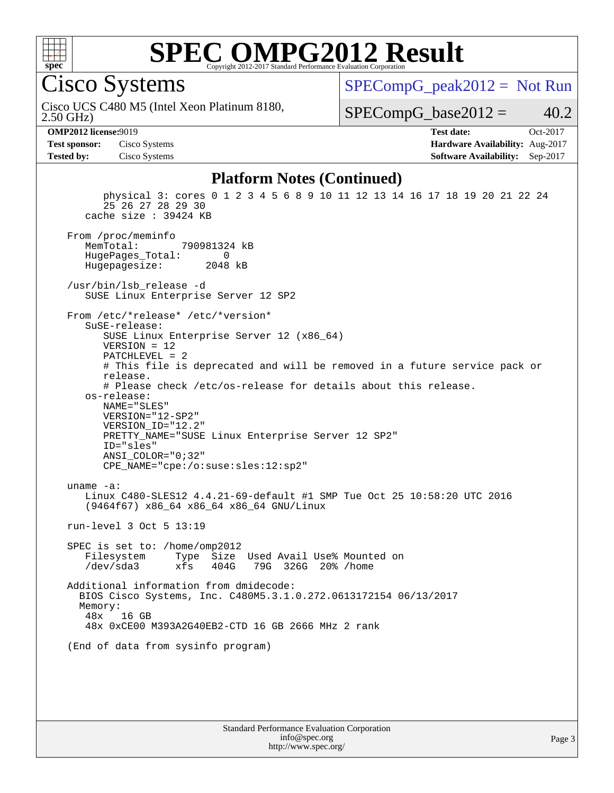

Cisco Systems

 $SPECompG_peak2012 = Not Run$  $SPECompG_peak2012 = Not Run$ 

2.50 GHz) Cisco UCS C480 M5 (Intel Xeon Platinum 8180,

 $SPECompG_base2012 = 40.2$  $SPECompG_base2012 = 40.2$ 

**[OMP2012 license:](http://www.spec.org/auto/omp2012/Docs/result-fields.html#OMP2012license)**9019 **[Test date:](http://www.spec.org/auto/omp2012/Docs/result-fields.html#Testdate)** Oct-2017 **[Test sponsor:](http://www.spec.org/auto/omp2012/Docs/result-fields.html#Testsponsor)** Cisco Systems **[Hardware Availability:](http://www.spec.org/auto/omp2012/Docs/result-fields.html#HardwareAvailability)** Aug-2017 **[Tested by:](http://www.spec.org/auto/omp2012/Docs/result-fields.html#Testedby)** Cisco Systems **[Software Availability:](http://www.spec.org/auto/omp2012/Docs/result-fields.html#SoftwareAvailability)** Sep-2017

#### **[Platform Notes \(Continued\)](http://www.spec.org/auto/omp2012/Docs/result-fields.html#PlatformNotes)**

 physical 3: cores 0 1 2 3 4 5 6 8 9 10 11 12 13 14 16 17 18 19 20 21 22 24 25 26 27 28 29 30 cache size : 39424 KB From /proc/meminfo<br>MemTotal: 790981324 kB HugePages\_Total: 0<br>Hugepagesize: 2048 kB Hugepagesize: /usr/bin/lsb\_release -d SUSE Linux Enterprise Server 12 SP2 From /etc/\*release\* /etc/\*version\* SuSE-release: SUSE Linux Enterprise Server 12 (x86\_64) VERSION = 12 PATCHLEVEL = 2 # This file is deprecated and will be removed in a future service pack or release. # Please check /etc/os-release for details about this release. os-release: NAME="SLES" VERSION="12-SP2" VERSION\_ID="12.2" PRETTY NAME="SUSE Linux Enterprise Server 12 SP2" ID="sles" ANSI\_COLOR="0;32" CPE\_NAME="cpe:/o:suse:sles:12:sp2" uname -a: Linux C480-SLES12 4.4.21-69-default #1 SMP Tue Oct 25 10:58:20 UTC 2016 (9464f67) x86\_64 x86\_64 x86\_64 GNU/Linux run-level 3 Oct 5 13:19 SPEC is set to: /home/omp2012 Filesystem Type Size Used Avail Use% Mounted on<br>
/dev/sda3 xfs 404G 79G 326G 20% /home 79G 326G 20% /home Additional information from dmidecode: BIOS Cisco Systems, Inc. C480M5.3.1.0.272.0613172154 06/13/2017 Memory:<br>48x 16 GB 48x 0xCE00 M393A2G40EB2-CTD 16 GB 2666 MHz 2 rank (End of data from sysinfo program)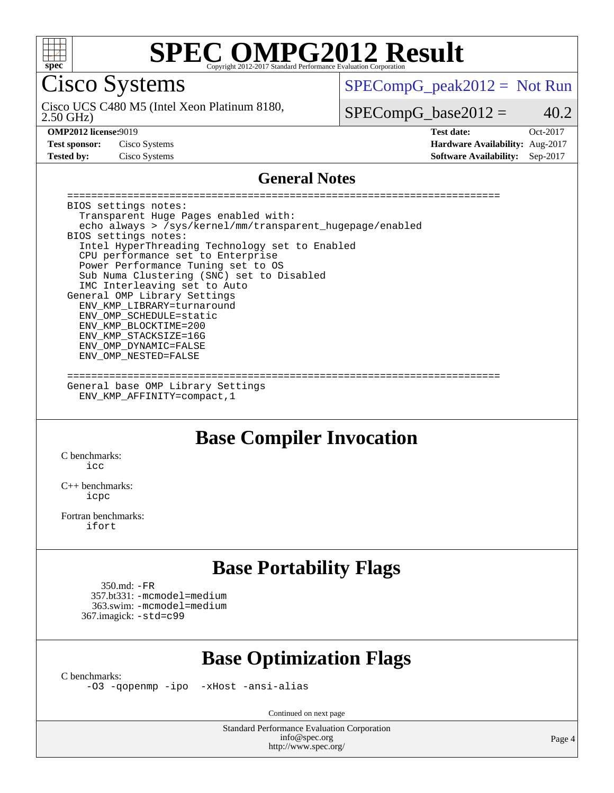

Cisco Systems

 $SPECompG_peak2012 = Not Run$  $SPECompG_peak2012 = Not Run$ 

2.50 GHz) Cisco UCS C480 M5 (Intel Xeon Platinum 8180,

 $SPECompG_base2012 = 40.2$  $SPECompG_base2012 = 40.2$ 

**[Test sponsor:](http://www.spec.org/auto/omp2012/Docs/result-fields.html#Testsponsor)** Cisco Systems **[Hardware Availability:](http://www.spec.org/auto/omp2012/Docs/result-fields.html#HardwareAvailability)** Aug-2017 **[Tested by:](http://www.spec.org/auto/omp2012/Docs/result-fields.html#Testedby)** Cisco Systems **[Software Availability:](http://www.spec.org/auto/omp2012/Docs/result-fields.html#SoftwareAvailability)** Sep-2017

**[OMP2012 license:](http://www.spec.org/auto/omp2012/Docs/result-fields.html#OMP2012license)**9019 **[Test date:](http://www.spec.org/auto/omp2012/Docs/result-fields.html#Testdate)** Oct-2017

#### **[General Notes](http://www.spec.org/auto/omp2012/Docs/result-fields.html#GeneralNotes)**

 ======================================================================== BIOS settings notes: Transparent Huge Pages enabled with: echo always > /sys/kernel/mm/transparent\_hugepage/enabled BIOS settings notes: Intel HyperThreading Technology set to Enabled CPU performance set to Enterprise Power Performance Tuning set to OS Sub Numa Clustering (SNC) set to Disabled IMC Interleaving set to Auto General OMP Library Settings ENV\_KMP\_LIBRARY=turnaround ENV\_OMP\_SCHEDULE=static ENV\_KMP\_BLOCKTIME=200 ENV\_KMP\_STACKSIZE=16G ENV\_OMP\_DYNAMIC=FALSE ENV\_OMP\_NESTED=FALSE ========================================================================

 General base OMP Library Settings ENV\_KMP\_AFFINITY=compact,1

### **[Base Compiler Invocation](http://www.spec.org/auto/omp2012/Docs/result-fields.html#BaseCompilerInvocation)**

[C benchmarks](http://www.spec.org/auto/omp2012/Docs/result-fields.html#Cbenchmarks):  $i$ 

[C++ benchmarks:](http://www.spec.org/auto/omp2012/Docs/result-fields.html#CXXbenchmarks) [icpc](http://www.spec.org/omp2012/results/res2017q4/omp2012-20171010-00129.flags.html#user_CXXbase_intel_icpc_2d899f8d163502b12eb4a60069f80c1c)

[Fortran benchmarks](http://www.spec.org/auto/omp2012/Docs/result-fields.html#Fortranbenchmarks): [ifort](http://www.spec.org/omp2012/results/res2017q4/omp2012-20171010-00129.flags.html#user_FCbase_intel_ifort_8a5e5e06b19a251bdeaf8fdab5d62f20)

### **[Base Portability Flags](http://www.spec.org/auto/omp2012/Docs/result-fields.html#BasePortabilityFlags)**

 350.md: [-FR](http://www.spec.org/omp2012/results/res2017q4/omp2012-20171010-00129.flags.html#user_baseFPORTABILITY350_md_f-FR) 357.bt331: [-mcmodel=medium](http://www.spec.org/omp2012/results/res2017q4/omp2012-20171010-00129.flags.html#user_basePORTABILITY357_bt331_f-mcmodel_3a41622424bdd074c4f0f2d2f224c7e5) 363.swim: [-mcmodel=medium](http://www.spec.org/omp2012/results/res2017q4/omp2012-20171010-00129.flags.html#user_basePORTABILITY363_swim_f-mcmodel_3a41622424bdd074c4f0f2d2f224c7e5) 367.imagick: [-std=c99](http://www.spec.org/omp2012/results/res2017q4/omp2012-20171010-00129.flags.html#user_baseCPORTABILITY367_imagick_f-std_2ec6533b6e06f1c4a6c9b78d9e9cde24)

### **[Base Optimization Flags](http://www.spec.org/auto/omp2012/Docs/result-fields.html#BaseOptimizationFlags)**

[C benchmarks](http://www.spec.org/auto/omp2012/Docs/result-fields.html#Cbenchmarks):

[-O3](http://www.spec.org/omp2012/results/res2017q4/omp2012-20171010-00129.flags.html#user_CCbase_f-O3) [-qopenmp](http://www.spec.org/omp2012/results/res2017q4/omp2012-20171010-00129.flags.html#user_CCbase_f-qopenmp) [-ipo](http://www.spec.org/omp2012/results/res2017q4/omp2012-20171010-00129.flags.html#user_CCbase_f-ipo_84062ab53814f613187d02344b8f49a7) [-xHost](http://www.spec.org/omp2012/results/res2017q4/omp2012-20171010-00129.flags.html#user_CCbase_f-xHost) [-ansi-alias](http://www.spec.org/omp2012/results/res2017q4/omp2012-20171010-00129.flags.html#user_CCbase_f-ansi-alias)

Continued on next page

Standard Performance Evaluation Corporation [info@spec.org](mailto:info@spec.org) <http://www.spec.org/>